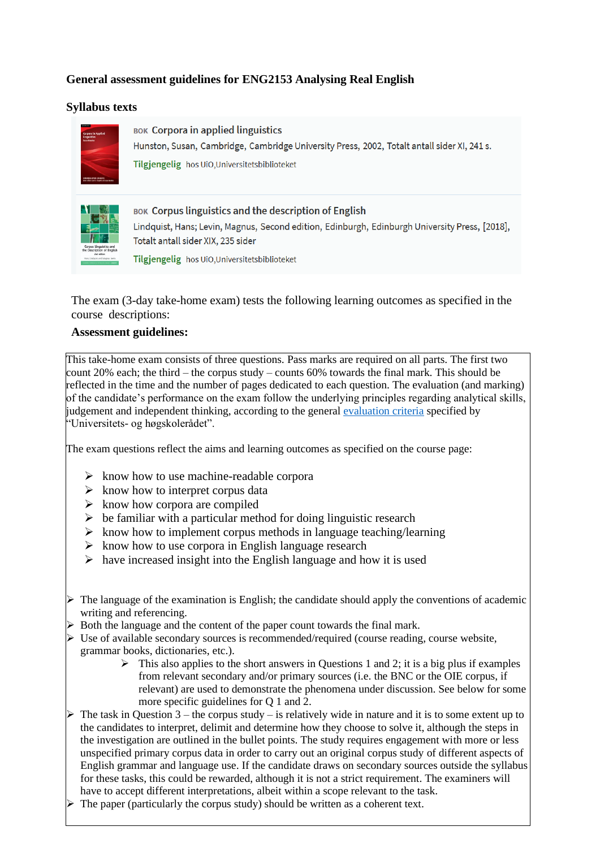# **General assessment guidelines for ENG2153 Analysing Real English**

### **Syllabus texts**



**BOK Corpora in applied linguistics** Hunston, Susan, Cambridge, Cambridge University Press, 2002, Totalt antall sider XI, 241 s. Tilgjengelig hos UiO, Universitets biblioteket



**BOK Corpus linguistics and the description of English** Lindquist, Hans; Levin, Magnus, Second edition, Edinburgh, Edinburgh University Press, [2018], Totalt antall sider XIX, 235 sider

Tilgjengelig hos UiO, Universitets biblioteket

The exam (3-day take-home exam) tests the following learning outcomes as specified in the course descriptions:

### **Assessment guidelines:**

This take-home exam consists of three questions. Pass marks are required on all parts. The first two count 20% each; the third – the corpus study – counts 60% towards the final mark. This should be reflected in the time and the number of pages dedicated to each question. The evaluation (and marking) of the candidate's performance on the exam follow the underlying principles regarding analytical skills, judgement and independent thinking, according to the general [evaluation criteria](https://www.uhr.no/_f/p1/i4bfb251a-5e7c-4e34-916b-85478c61a800/karaktersystemet_generelle_kvalitative_beskrivelser.pdf) specified by "Universitets- og høgskolerådet".

The exam questions reflect the aims and learning outcomes as specified on the course page:

- $\triangleright$  know how to use machine-readable corpora
- $\triangleright$  know how to interpret corpus data
- $\triangleright$  know how corpora are compiled
- $\triangleright$  be familiar with a particular method for doing linguistic research
- ➢ know how to implement corpus methods in language teaching/learning
- $\triangleright$  know how to use corpora in English language research
- $\triangleright$  have increased insight into the English language and how it is used
- $\triangleright$  The language of the examination is English; the candidate should apply the conventions of academic writing and referencing.
- ➢ Both the language and the content of the paper count towards the final mark.
- $\triangleright$  Use of available secondary sources is recommended/required (course reading, course website, grammar books, dictionaries, etc.).
	- $\triangleright$  This also applies to the short answers in Questions 1 and 2; it is a big plus if examples from relevant secondary and/or primary sources (i.e. the BNC or the OIE corpus, if relevant) are used to demonstrate the phenomena under discussion. See below for some more specific guidelines for Q 1 and 2.
- $\triangleright$  The task in Question 3 the corpus study is relatively wide in nature and it is to some extent up to the candidates to interpret, delimit and determine how they choose to solve it, although the steps in the investigation are outlined in the bullet points. The study requires engagement with more or less unspecified primary corpus data in order to carry out an original corpus study of different aspects of English grammar and language use. If the candidate draws on secondary sources outside the syllabus for these tasks, this could be rewarded, although it is not a strict requirement. The examiners will have to accept different interpretations, albeit within a scope relevant to the task.
- $\triangleright$  The paper (particularly the corpus study) should be written as a coherent text.